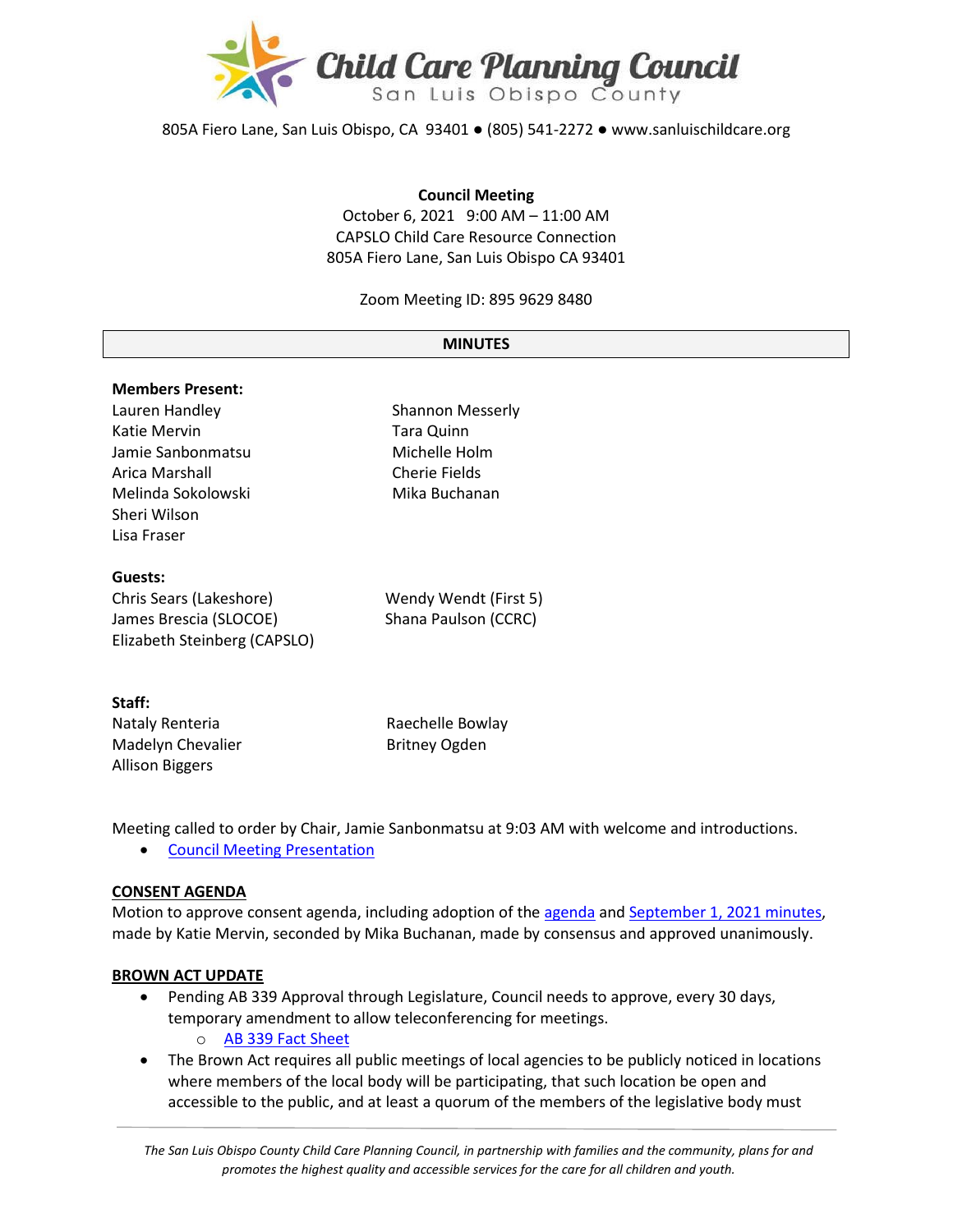

805A Fiero Lane, San Luis Obispo, CA 93401 ● (805) 541-2272 ● www.sanluischildcare.org

#### **Council Meeting**

October 6, 2021 9:00 AM – 11:00 AM CAPSLO Child Care Resource Connection 805A Fiero Lane, San Luis Obispo CA 93401

Zoom Meeting ID: 895 9629 8480

#### **MINUTES**

| <b>Members Present:</b>      |                         |
|------------------------------|-------------------------|
| Lauren Handley               | <b>Shannon Messerly</b> |
| Katie Mervin                 | <b>Tara Quinn</b>       |
| Jamie Sanbonmatsu            | Michelle Holm           |
| Arica Marshall               | Cherie Fields           |
| Melinda Sokolowski           | Mika Buchanan           |
| Sheri Wilson                 |                         |
| Lisa Fraser                  |                         |
| Guests:                      |                         |
| Chris Sears (Lakeshore)      | Wendy Wendt (First 5)   |
| James Brescia (SLOCOE)       | Shana Paulson (CCRC)    |
| Elizabeth Steinberg (CAPSLO) |                         |
| Staff•                       |                         |

| ------                 |                      |
|------------------------|----------------------|
| Nataly Renteria        | Raechelle Bowlay     |
| Madelyn Chevalier      | <b>Britney Ogden</b> |
| <b>Allison Biggers</b> |                      |

Meeting called to order by Chair, Jamie Sanbonmatsu at 9:03 AM with welcome and introductions.

• [Council Meeting Presentation](https://drive.google.com/file/d/1mPIXFHvzBBbAeB_Y1cLaOOnedca1grVN/view?usp=sharing)

#### **CONSENT AGENDA**

Motion to approve consent [agenda](https://drive.google.com/file/d/1Cews3inScQmN6CUxHvvCpJfW1kYsbyPi/view?usp=sharing), including adoption of the agenda and [September 1](https://drive.google.com/file/d/1wnZD-NKblfmIq9cv0meIn3YmjpMjF-Ek/view?usp=sharing), 2021 minutes, made by Katie Mervin, seconded by Mika Buchanan, made by consensus and approved unanimously.

#### **BROWN ACT UPDATE**

- Pending AB 339 Approval through Legislature, Council needs to approve, every 30 days, temporary amendment to allow teleconferencing for meetings.
	- o [AB 339 Fact Sheet](https://leginfo.legislature.ca.gov/faces/billTextClient.xhtml?bill_id=202120220AB339)
- The Brown Act requires all public meetings of local agencies to be publicly noticed in locations where members of the local body will be participating, that such location be open and accessible to the public, and at least a quorum of the members of the legislative body must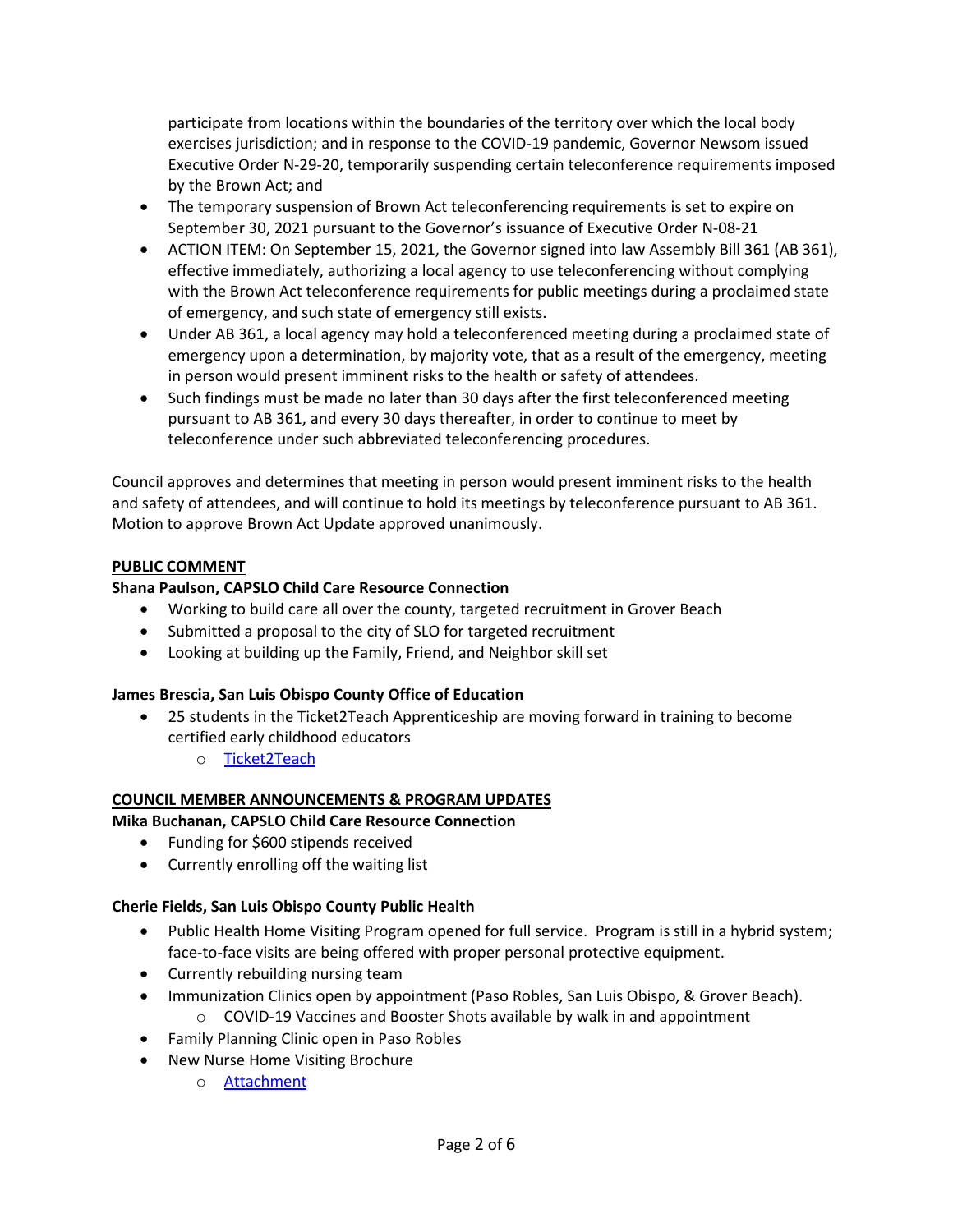participate from locations within the boundaries of the territory over which the local body exercises jurisdiction; and in response to the COVID-19 pandemic, Governor Newsom issued Executive Order N-29-20, temporarily suspending certain teleconference requirements imposed by the Brown Act; and

- The temporary suspension of Brown Act teleconferencing requirements is set to expire on September 30, 2021 pursuant to the Governor's issuance of Executive Order N-08-21
- ACTION ITEM: On September 15, 2021, the Governor signed into law Assembly Bill 361 (AB 361), effective immediately, authorizing a local agency to use teleconferencing without complying with the Brown Act teleconference requirements for public meetings during a proclaimed state of emergency, and such state of emergency still exists.
- Under AB 361, a local agency may hold a teleconferenced meeting during a proclaimed state of emergency upon a determination, by majority vote, that as a result of the emergency, meeting in person would present imminent risks to the health or safety of attendees.
- Such findings must be made no later than 30 days after the first teleconferenced meeting pursuant to AB 361, and every 30 days thereafter, in order to continue to meet by teleconference under such abbreviated teleconferencing procedures.

Council approves and determines that meeting in person would present imminent risks to the health and safety of attendees, and will continue to hold its meetings by teleconference pursuant to AB 361. Motion to approve Brown Act Update approved unanimously.

## **PUBLIC COMMENT**

# **Shana Paulson, CAPSLO Child Care Resource Connection**

- Working to build care all over the county, targeted recruitment in Grover Beach
- Submitted a proposal to the city of SLO for targeted recruitment
- Looking at building up the Family, Friend, and Neighbor skill set

## **James Brescia, San Luis Obispo County Office of Education**

- 25 students in the Ticket2Teach Apprenticeship are moving forward in training to become certified early childhood educators
	- o [Ticket2Teach](https://www.ticket2teach.org/)

# **COUNCIL MEMBER ANNOUNCEMENTS & PROGRAM UPDATES**

**Mika Buchanan, CAPSLO Child Care Resource Connection**

- Funding for \$600 stipends received
- Currently enrolling off the waiting list

## **Cherie Fields, San Luis Obispo County Public Health**

- Public Health Home Visiting Program opened for full service. Program is still in a hybrid system; face-to-face visits are being offered with proper personal protective equipment.
- Currently rebuilding nursing team
- Immunization Clinics open by appointment (Paso Robles, San Luis Obispo, & Grover Beach).
	- o COVID-19 Vaccines and Booster Shots available by walk in and appointment
- Family Planning Clinic open in Paso Robles
- New Nurse Home Visiting Brochure
	- o **Attachment**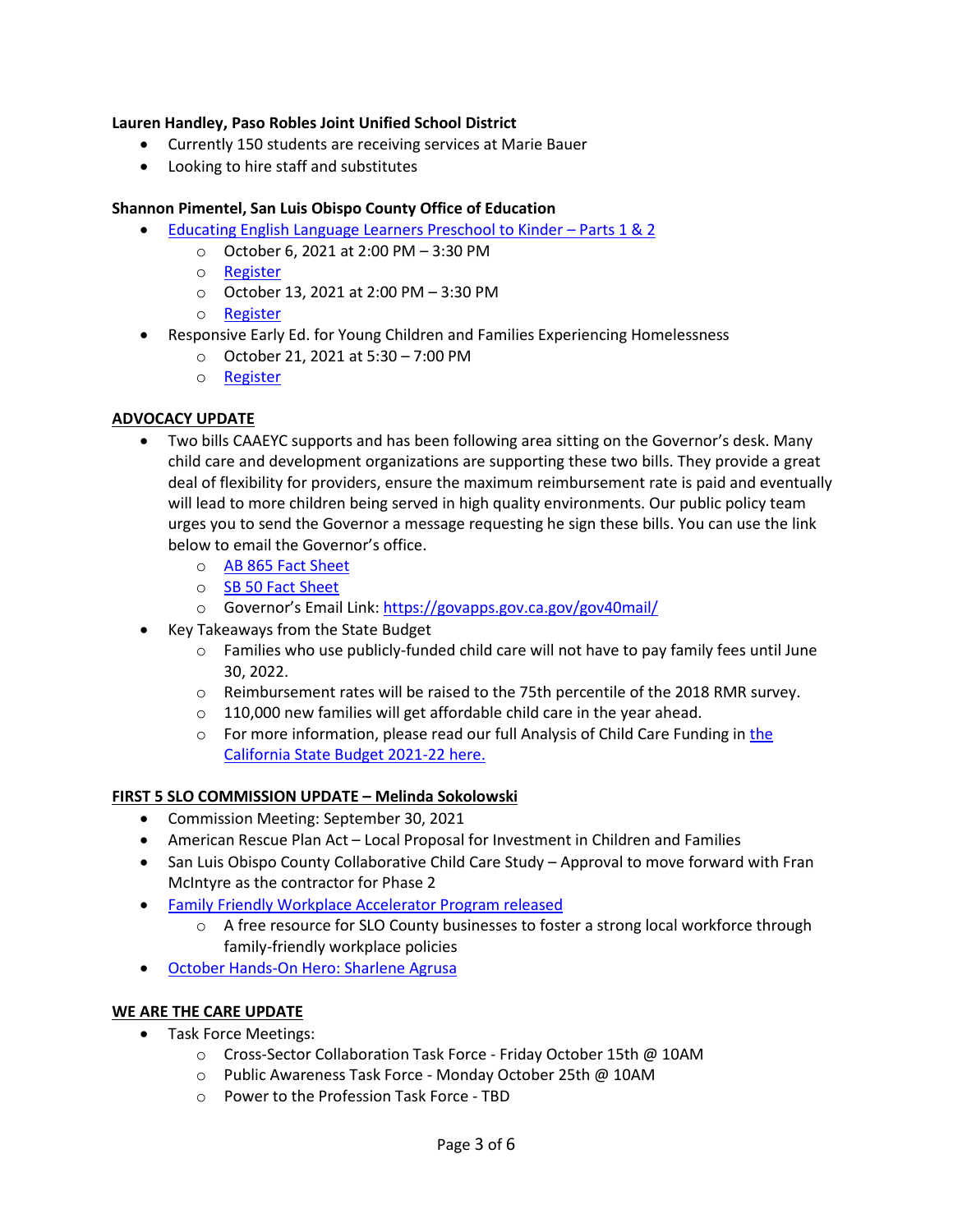### **Lauren Handley, Paso Robles Joint Unified School District**

- Currently 150 students are receiving services at Marie Bauer
- Looking to hire staff and substitutes

### **Shannon Pimentel, San Luis Obispo County Office of Education**

- [Educating English Language Learners Preschool to Kinder](https://drive.google.com/file/d/1aIoi1TnN10klh15EmaA-5FjmFbuZc5jV/view?usp=sharing)  Parts 1 & 2
	- o October 6, 2021 at 2:00 PM 3:30 PM
		- o [Register](https://slocoe.k12oms.org/2259-206941)
		- o October 13, 2021 at 2:00 PM 3:30 PM
		- o [Register](https://slocoe.k12oms.org/2259-206944)
- Responsive Early Ed. for Young Children and Families Experiencing Homelessness
	- o October 21, 2021 at 5:30 7:00 PM
	- o [Register](https://slocoe.k12oms.org/964-211216)

### **ADVOCACY UPDATE**

- Two bills CAAEYC supports and has been following area sitting on the Governor's desk. Many child care and development organizations are supporting these two bills. They provide a great deal of flexibility for providers, ensure the maximum reimbursement rate is paid and eventually will lead to more children being served in high quality environments. Our public policy team urges you to send the Governor a message requesting he sign these bills. You can use the link below to email the Governor's office.
	- o [AB 865 Fact Sheet](https://caeyc.org/files/7916/3234/0675/AB_865_Quirk-Silva_Child_Care_Fact_Sheet_-_approved.pdf)
	- o [SB 50 Fact Sheet](https://caeyc.org/files/2416/3234/0772/SB-50-Factsheet.pdf)
	- o Governor's Email Link:<https://govapps.gov.ca.gov/gov40mail/>
- Key Takeaways from the State Budget
	- $\circ$  Families who use publicly-funded child care will not have to pay family fees until June 30, 2022.
	- o Reimbursement rates will be raised to the 75th percentile of the 2018 RMR survey.
	- o 110,000 new families will get affordable child care in the year ahead.
	- o For more information, please read our full Analysis of Child Care Funding in the [California State Budget 2021](https://www.childcarelaw.org/wp-content/uploads/2021/09/Analysis-of-Child-Care-Provisions-in-the-California-State-Budget-FY-21-22-Child-Care-Law-Center-9.23.21.pdf?eType=EmailBlastContent&eId=a921abf4-e0ff-4eda-ae5e-cc130288582f)-22 here.

#### **FIRST 5 SLO COMMISSION UPDATE – Melinda Sokolowski**

- Commission Meeting: September 30, 2021
- American Rescue Plan Act Local Proposal for Investment in Children and Families
- San Luis Obispo County Collaborative Child Care Study Approval to move forward with Fran McIntyre as the contractor for Phase 2
- [Family Friendly Workplace Accelerator Program released](https://slochamber.org/slo-chamber-announces-new-free-family-friendly-workplace-accelerator-program/)
	- o A free resource for SLO County businesses to foster a strong local workforce through family-friendly workplace policies
- October Hands-On Hero: [Sharlene Agrusa](https://storage.googleapis.com/first5slo-org/uploads/October%202021%20Press%20Ready%20Hands-on%20Hero%20Profile.pdf)

#### **WE ARE THE CARE UPDATE**

- Task Force Meetings:
	- o Cross-Sector Collaboration Task Force Friday October 15th @ 10AM
	- o Public Awareness Task Force Monday October 25th @ 10AM
	- o Power to the Profession Task Force TBD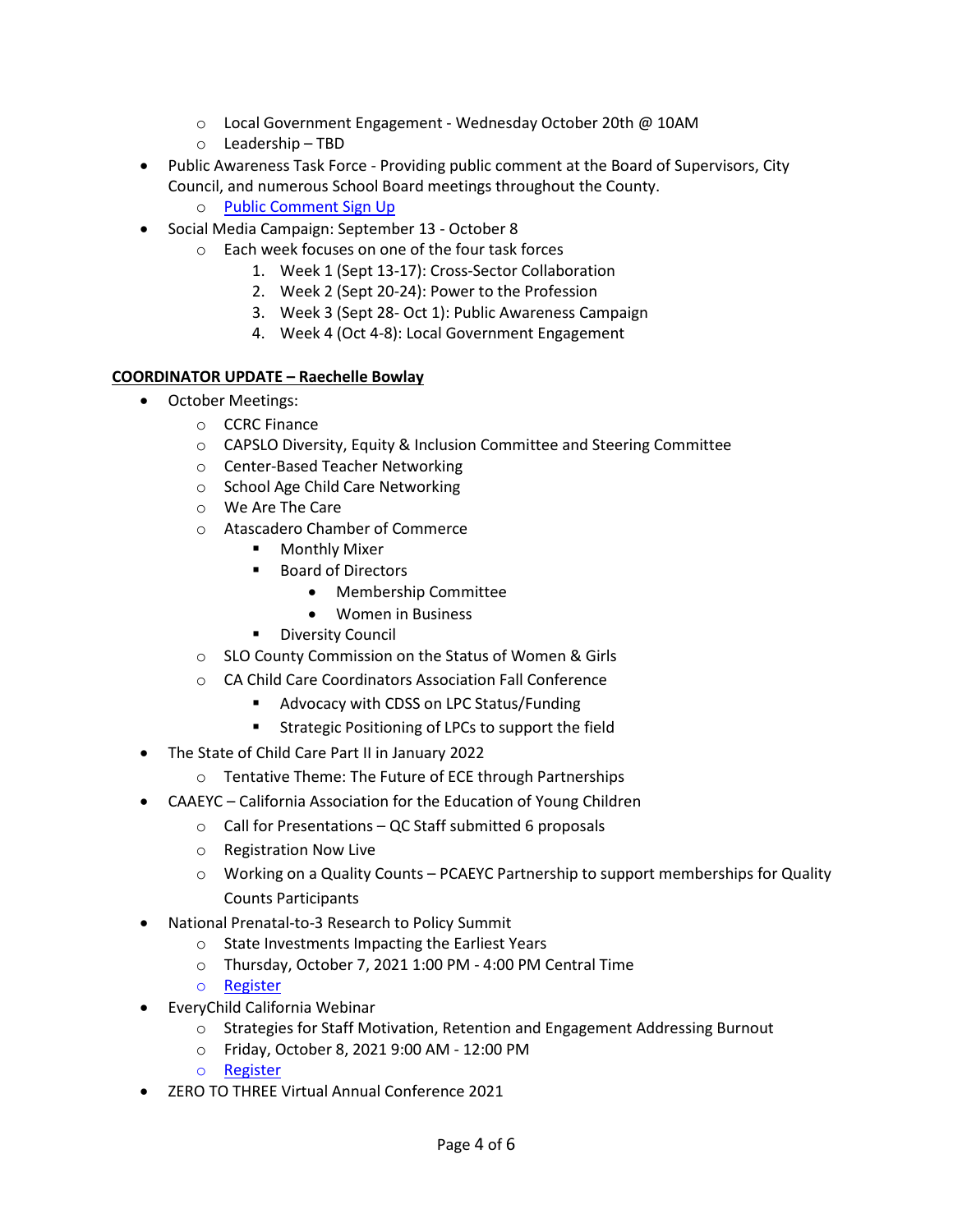- $\circ$  Local Government Engagement Wednesday October 20th @ 10AM
- o Leadership TBD
- Public Awareness Task Force Providing public comment at the Board of Supervisors, City Council, and numerous School Board meetings throughout the County.
	- o [Public Comment Sign Up](https://docs.google.com/spreadsheets/d/1PRed7sb75JoyT08b44jvc-CNIwXwMvJMAW3yZVhEcpY/edit#gid=1335858315)
- Social Media Campaign: September 13 October 8
	- o Each week focuses on one of the four task forces
		- 1. Week 1 (Sept 13-17): Cross-Sector Collaboration
		- 2. Week 2 (Sept 20-24): Power to the Profession
		- 3. Week 3 (Sept 28- Oct 1): Public Awareness Campaign
		- 4. Week 4 (Oct 4-8): Local Government Engagement

# **COORDINATOR UPDATE – Raechelle Bowlay**

- October Meetings:
	- o CCRC Finance
	- o CAPSLO Diversity, Equity & Inclusion Committee and Steering Committee
	- o Center-Based Teacher Networking
	- o School Age Child Care Networking
	- o We Are The Care
	- o Atascadero Chamber of Commerce
		- **•** Monthly Mixer
		- Board of Directors
			- Membership Committee
			- Women in Business
		- **Diversity Council**
	- o SLO County Commission on the Status of Women & Girls
	- o CA Child Care Coordinators Association Fall Conference
		- **Advocacy with CDSS on LPC Status/Funding**
		- Strategic Positioning of LPCs to support the field
- The State of Child Care Part II in January 2022
	- o Tentative Theme: The Future of ECE through Partnerships
- CAAEYC California Association for the Education of Young Children
	- o Call for Presentations QC Staff submitted 6 proposals
	- o Registration Now Live
	- $\circ$  Working on a Quality Counts PCAEYC Partnership to support memberships for Quality Counts Participants
- National Prenatal-to-3 Research to Policy Summit
	- o State Investments Impacting the Earliest Years
	- o Thursday, October 7, 2021 1:00 PM 4:00 PM Central Time
	- o [Register](https://info.childandfamilyresearch.org/2021-national-prenatal-to-3-research-policy-summit?utm_campaign=Webinar%20invites&utm_medium=email&_hsmi=166895343&_hsenc=p2ANqtz-9rC6ktcdrnnEfzUZevM2VVflt2P3jYYc-zpatUMu51d4eF8j6xVfIPJKK9s2h9eS-1PHyxKehsFirPC8eak0qRJXeEDyiYagdnbXjp54BOGRkdwDc&utm_content=166895343&utm_source=hs_email)
- EveryChild California Webinar
	- o Strategies for Staff Motivation, Retention and Engagement Addressing Burnout
	- o Friday, October 8, 2021 9:00 AM 12:00 PM
	- o [Register](https://assn.memberclicks.net/index.php?option=com_jevents&task=icalevent.detail&evid=158)
- ZERO TO THREE Virtual Annual Conference 2021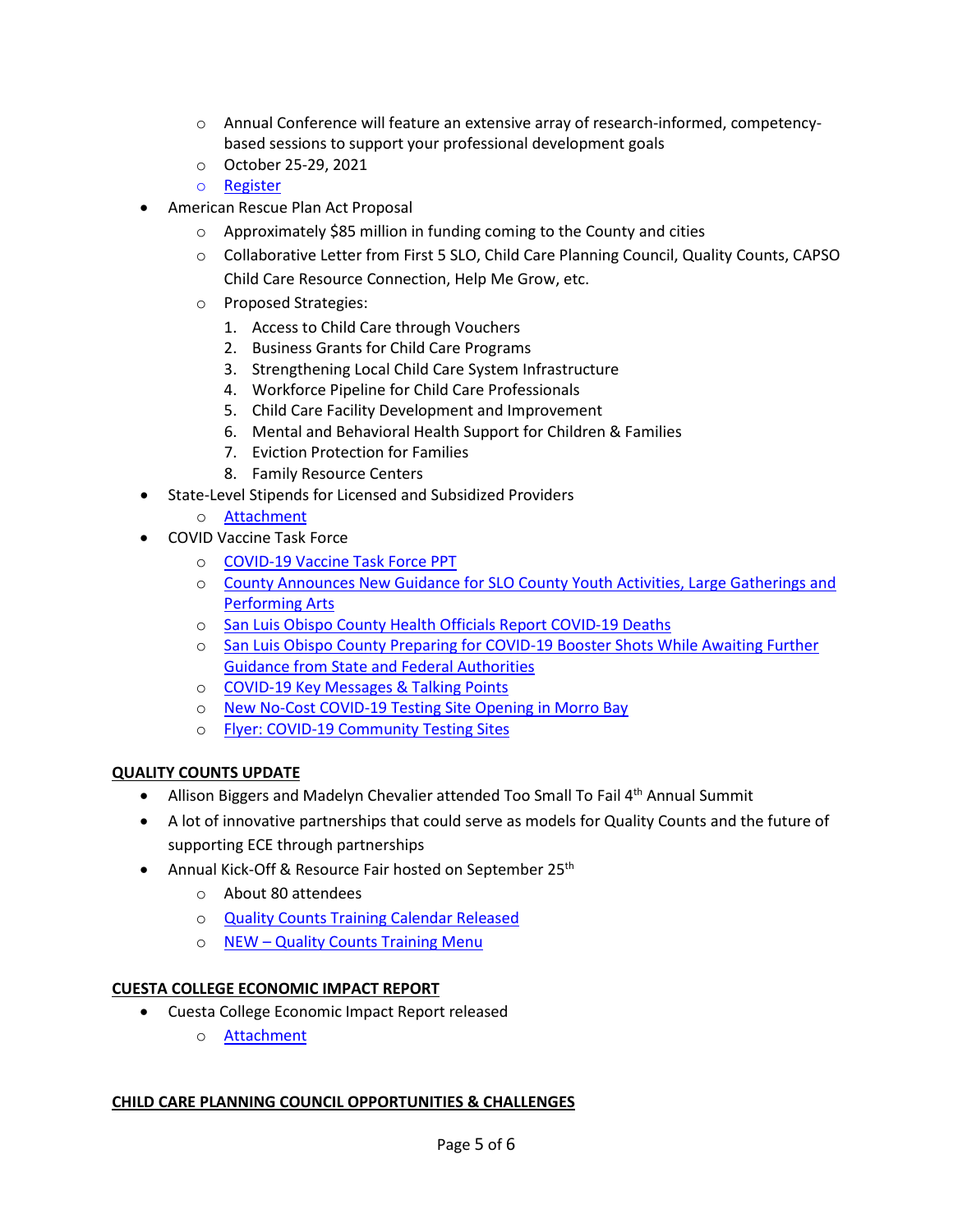- o Annual Conference will feature an extensive array of research-informed, competencybased sessions to support your professional development goals
- o October 25-29, 2021
- o [Register](https://myzerotothree.force.com/s/community-event?id=a3p2S0000007GChQAM&_ga=2.176378149.107959732.1633470921-1711559273.1633470921)
- American Rescue Plan Act Proposal
	- o Approximately \$85 million in funding coming to the County and cities
	- o Collaborative Letter from First 5 SLO, Child Care Planning Council, Quality Counts, CAPSO Child Care Resource Connection, Help Me Grow, etc.
	- o Proposed Strategies:
		- 1. Access to Child Care through Vouchers
		- 2. Business Grants for Child Care Programs
		- 3. Strengthening Local Child Care System Infrastructure
		- 4. Workforce Pipeline for Child Care Professionals
		- 5. Child Care Facility Development and Improvement
		- 6. Mental and Behavioral Health Support for Children & Families
		- 7. Eviction Protection for Families
		- 8. Family Resource Centers
- State-Level Stipends for Licensed and Subsidized Providers
	- o [Attachment](https://drive.google.com/file/d/1GLDATy7jGvWRgk2AnMwvJNmRkBhjD-T-/view?usp=sharing)
- COVID Vaccine Task Force
	- o COVID-[19 Vaccine Task Force PPT](https://drive.google.com/file/d/1Ypv-30vw4er2aSBh1tOewf3D9NT-RLpT/view?usp=sharing)
	- o [County Announces New Guidance for SLO County Youth Activities, Large Gatherings and](https://drive.google.com/file/d/1Ev3Cr7OnJFjWx6QQwAOM8L8EDW-FJsea/view?usp=sharing)  [Performing Arts](https://drive.google.com/file/d/1Ev3Cr7OnJFjWx6QQwAOM8L8EDW-FJsea/view?usp=sharing)
	- o [San Luis Obispo County Health Officials Report COVID](https://drive.google.com/file/d/1QSMZ4FyUlDomDqHY_DMKpI80TtTEbMs2/view?usp=sharing)-19 Deaths
	- o [San Luis Obispo County Preparing for COVID](https://drive.google.com/file/d/1MTT4TKWkfHmNDjdV1I2VuSc27UAp4FYL/view?usp=sharing)-19 Booster Shots While Awaiting Further [Guidance from State and Federal Authorities](https://drive.google.com/file/d/1MTT4TKWkfHmNDjdV1I2VuSc27UAp4FYL/view?usp=sharing)
	- o COVID-[19 Key Messages & Talking Points](https://drive.google.com/file/d/1i3Vp9Do9yMa3hkqJLx2vkQn2IjAdY5p-/view?usp=sharing)
	- o New No-Cost COVID-19 [Testing Site Opening in Morro Bay](https://drive.google.com/file/d/13Qp2pfNxN_fnTHTA3WkHLaRbyeaQAyRC/view?usp=sharing)
	- o Flyer: COVID-[19 Community Testing Sites](https://drive.google.com/file/d/1PCr26xLtiVzId9HnOEpZLKiobH-pWstS/view)

## **QUALITY COUNTS UPDATE**

- Allison Biggers and Madelyn Chevalier attended Too Small To Fail 4<sup>th</sup> Annual Summit
- A lot of innovative partnerships that could serve as models for Quality Counts and the future of supporting ECE through partnerships
- Annual Kick-Off & Resource Fair hosted on September 25<sup>th</sup>
	- o About 80 attendees
	- o [Quality Counts Training Calendar Released](http://www.sloqualitycounts.org/training-calendar.html)
	- o NEW [Quality Counts Training Menu](http://www.sloqualitycounts.org/uploads/2/2/1/3/22138440/quality_counts_pd_menu_21-22.pdf)

## **CUESTA COLLEGE ECONOMIC IMPACT REPORT**

- Cuesta College Economic Impact Report released
	- o [Attachment](https://www.cuesta.edu/about/documents/inst_research/SLO_Childcare_Economic_Impact_Report.pdf)

#### **CHILD CARE PLANNING COUNCIL OPPORTUNITIES & CHALLENGES**